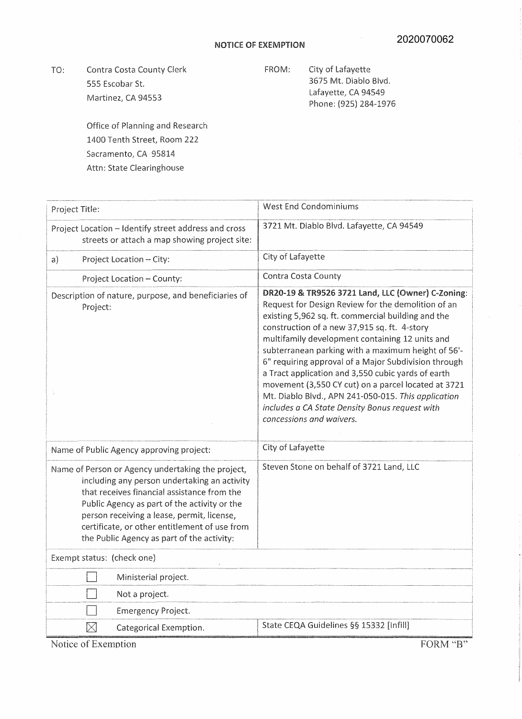TO: Contra Costa County Clerk 555 Escobar St. Martinez, CA 94553

FROM: City of Lafayette 3675 Mt. Diablo Blvd. Lafayette, CA 94549 Phone: (925) 284-1976

Office of Planning and Research 1400 Tenth Street, Room 222 Sacramento; CA 95814 Attn: State Clearinghouse

| Project Title:                                                                                                                                                                                                                                                                                                                                | <b>West End Condominiums</b>                                                                                                                                                                                                                                                                                                                                                                                                                                                                                                                                                                                                     |
|-----------------------------------------------------------------------------------------------------------------------------------------------------------------------------------------------------------------------------------------------------------------------------------------------------------------------------------------------|----------------------------------------------------------------------------------------------------------------------------------------------------------------------------------------------------------------------------------------------------------------------------------------------------------------------------------------------------------------------------------------------------------------------------------------------------------------------------------------------------------------------------------------------------------------------------------------------------------------------------------|
| Project Location - Identify street address and cross<br>streets or attach a map showing project site:                                                                                                                                                                                                                                         | 3721 Mt. Diablo Blvd. Lafayette, CA 94549                                                                                                                                                                                                                                                                                                                                                                                                                                                                                                                                                                                        |
| Project Location - City:<br>a)                                                                                                                                                                                                                                                                                                                | City of Lafayette                                                                                                                                                                                                                                                                                                                                                                                                                                                                                                                                                                                                                |
| Project Location - County:                                                                                                                                                                                                                                                                                                                    | Contra Costa County                                                                                                                                                                                                                                                                                                                                                                                                                                                                                                                                                                                                              |
| Description of nature, purpose, and beneficiaries of<br>Project:                                                                                                                                                                                                                                                                              | DR20-19 & TR9526 3721 Land, LLC (Owner) C-Zoning:<br>Request for Design Review for the demolition of an<br>existing 5,962 sq. ft. commercial building and the<br>construction of a new 37,915 sq. ft. 4-story<br>multifamily development containing 12 units and<br>subterranean parking with a maximum height of 56'-<br>6" requiring approval of a Major Subdivision through<br>a Tract application and 3,550 cubic yards of earth<br>movement (3,550 CY cut) on a parcel located at 3721<br>Mt. Diablo Blvd., APN 241-050-015. This application<br>includes a CA State Density Bonus request with<br>concessions and waivers. |
| Name of Public Agency approving project:                                                                                                                                                                                                                                                                                                      | City of Lafayette                                                                                                                                                                                                                                                                                                                                                                                                                                                                                                                                                                                                                |
| Name of Person or Agency undertaking the project,<br>including any person undertaking an activity<br>that receives financial assistance from the<br>Public Agency as part of the activity or the<br>person receiving a lease, permit, license,<br>certificate, or other entitlement of use from<br>the Public Agency as part of the activity: | Steven Stone on behalf of 3721 Land, LLC                                                                                                                                                                                                                                                                                                                                                                                                                                                                                                                                                                                         |
| Exempt status: (check one)                                                                                                                                                                                                                                                                                                                    |                                                                                                                                                                                                                                                                                                                                                                                                                                                                                                                                                                                                                                  |
| Ministerial project.                                                                                                                                                                                                                                                                                                                          |                                                                                                                                                                                                                                                                                                                                                                                                                                                                                                                                                                                                                                  |
| Not a project.                                                                                                                                                                                                                                                                                                                                |                                                                                                                                                                                                                                                                                                                                                                                                                                                                                                                                                                                                                                  |
| <b>Emergency Project.</b>                                                                                                                                                                                                                                                                                                                     |                                                                                                                                                                                                                                                                                                                                                                                                                                                                                                                                                                                                                                  |
| $\bowtie$<br>Categorical Exemption.                                                                                                                                                                                                                                                                                                           | State CEQA Guidelines §§ 15332 [Infill]                                                                                                                                                                                                                                                                                                                                                                                                                                                                                                                                                                                          |

Notice of Exemption FORM "B"